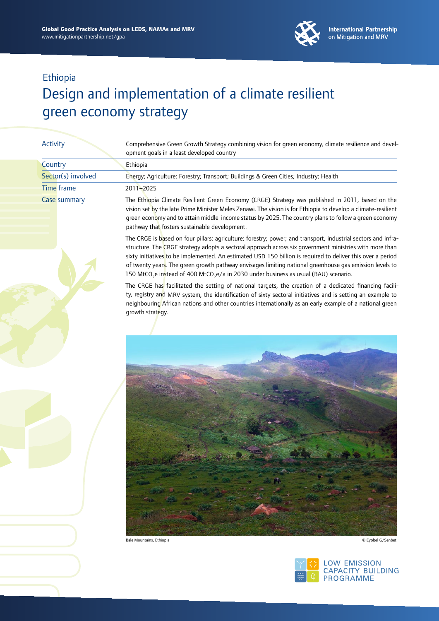

# Design and implementation of a climate resilient green economy strategy

| Activity           | Comprehensive Green Growth Strategy combining vision for green economy, climate resilience and devel-<br>opment goals in a least developed country                                                                                                                                                                                                                          |
|--------------------|-----------------------------------------------------------------------------------------------------------------------------------------------------------------------------------------------------------------------------------------------------------------------------------------------------------------------------------------------------------------------------|
| Country            | Ethiopia                                                                                                                                                                                                                                                                                                                                                                    |
| Sector(s) involved | Energy; Agriculture; Forestry; Transport; Buildings & Green Cities; Industry; Health                                                                                                                                                                                                                                                                                        |
| Time frame         | 2011-2025                                                                                                                                                                                                                                                                                                                                                                   |
| Case summary       | The Ethiopia Climate Resilient Green Economy (CRGE) Strategy was published in 2011, based on the<br>vision set by the late Prime Minister Meles Zenawi. The vision is for Ethiopia to develop a climate-resilient<br>green economy and to attain middle-income status by 2025. The country plans to follow a green economy<br>pathway that fosters sustainable development. |
|                    | The CRGE is based on four pillars: agriculture; forestry; power; and transport, industrial sectors and infra-<br>structure. The CRGE strategy adopts a sectoral approach across six government ministries with more than<br>sixty initiatives to be implemented. An estimated USD 150 billion is required to deliver this over a period                                     |

of twenty years. The green growth pathway envisages limiting national greenhouse gas emission levels to 150 MtCO<sub>2</sub>e instead of 400 MtCO<sub>2</sub>e/a in 2030 under business as usual (BAU) scenario. The CRGE has facilitated the setting of national targets, the creation of a dedicated financing facility, registry and MRV system, the identification of sixty sectoral initiatives and is setting an example to neighbouring African nations and other countries internationally as an early example of a national green



growth strategy.

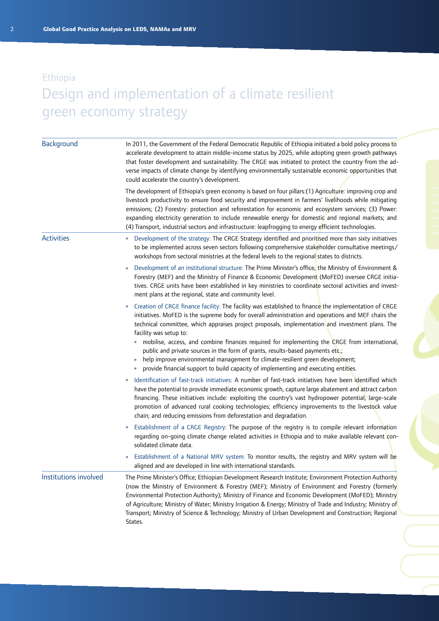| Background            | In 2011, the Government of the Federal Democratic Republic of Ethiopia initiated a bold policy process to<br>accelerate development to attain middle-income status by 2025, while adopting green growth pathways<br>that foster development and sustainability. The CRGE was initiated to protect the country from the ad-<br>verse impacts of climate change by identifying environmentally sustainable economic opportunities that<br>could accelerate the country's development.                                                                                                                                                                                                                      |  |  |
|-----------------------|----------------------------------------------------------------------------------------------------------------------------------------------------------------------------------------------------------------------------------------------------------------------------------------------------------------------------------------------------------------------------------------------------------------------------------------------------------------------------------------------------------------------------------------------------------------------------------------------------------------------------------------------------------------------------------------------------------|--|--|
|                       | The development of Ethiopia's green economy is based on four pillars:(1) Agriculture: improving crop and<br>livestock productivity to ensure food security and improvement in farmers' livelihoods while mitigating<br>emissions; (2) Forestry: protection and reforestation for economic and ecosystem services; (3) Power:<br>expanding electricity generation to include renewable energy for domestic and regional markets; and<br>(4) Transport, industrial sectors and infrastructure: leapfrogging to energy efficient technologies.                                                                                                                                                              |  |  |
| <b>Activities</b>     | Development of the strategy: The CRGE Strategy identified and prioritised more than sixty initiatives<br>»<br>to be implemented across seven sectors following comprehensive stakeholder consultative meetings/<br>workshops from sectoral ministries at the federal levels to the regional states to districts.                                                                                                                                                                                                                                                                                                                                                                                         |  |  |
|                       | Development of an institutional structure: The Prime Minister's office, the Ministry of Environment &<br>$\boldsymbol{\mathcal{W}}$<br>Forestry (MEF) and the Ministry of Finance & Economic Development (MoFED) oversee CRGE initia-<br>tives. CRGE units have been established in key ministries to coordinate sectoral activities and invest-<br>ment plans at the regional, state and community level.                                                                                                                                                                                                                                                                                               |  |  |
|                       | Creation of CRGE finance facility: The facility was established to finance the implementation of CRGE<br>initiatives. MoFED is the supreme body for overall administration and operations and MEF chairs the<br>technical committee, which appraises project proposals, implementation and investment plans. The<br>facility was setup to:<br>» mobilise, access, and combine finances required for implementing the CRGE from international,<br>public and private sources in the form of grants, results-based payments etc.;<br>help improve environmental management for climate-resilient green development;<br>provide financial support to build capacity of implementing and executing entities. |  |  |
|                       | Identification of fast-track initiatives: A number of fast-track initiatives have been identified which<br>»<br>have the potential to provide immediate economic growth, capture large abatement and attract carbon<br>financing. These initiatives include: exploiting the country's vast hydropower potential; large-scale<br>promotion of advanced rural cooking technologies; efficiency improvements to the livestock value<br>chain; and reducing emissions from deforestation and degradation.                                                                                                                                                                                                    |  |  |
|                       | Establishment of a CRGE Registry: The purpose of the registry is to compile relevant information<br>»<br>regarding on-going climate change related activities in Ethiopia and to make available relevant con-<br>solidated climate data.                                                                                                                                                                                                                                                                                                                                                                                                                                                                 |  |  |
|                       | Establishment of a National MRV system: To monitor results, the registry and MRV system will be<br>aligned and are developed in line with international standards.                                                                                                                                                                                                                                                                                                                                                                                                                                                                                                                                       |  |  |
| Institutions involved | The Prime Minister's Office; Ethiopian Development Research Institute; Environment Protection Authority<br>(now the Ministry of Environment & Forestry (MEF); Ministry of Environment and Forestry (formerly<br>Environmental Protection Authority); Ministry of Finance and Economic Development (MoFED); Ministry<br>of Agriculture; Ministry of Water; Ministry Irrigation & Energy; Ministry of Trade and Industry; Ministry of<br>Transport; Ministry of Science & Technology; Ministry of Urban Development and Construction; Regional<br>States.                                                                                                                                                  |  |  |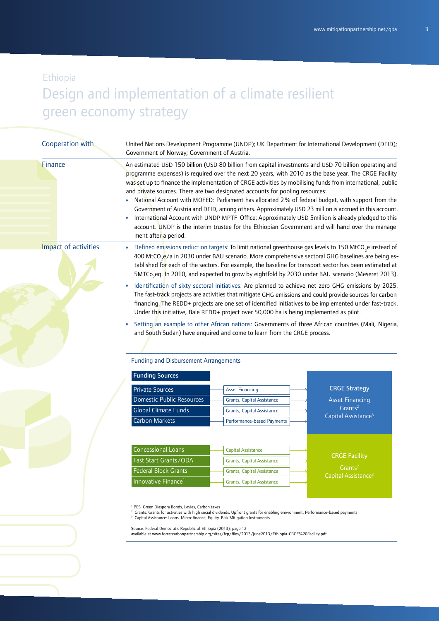| Cooperation with     | Government of Norway; Government of Austria.                                                                                                                                                                                  | United Nations Development Programme (UNDP); UK Department for International Development (DFID);                                                                                                                                                                                                                                                                                                                                                                                                                                                                                                                                                                                                                                                                                                                                        |                                 |
|----------------------|-------------------------------------------------------------------------------------------------------------------------------------------------------------------------------------------------------------------------------|-----------------------------------------------------------------------------------------------------------------------------------------------------------------------------------------------------------------------------------------------------------------------------------------------------------------------------------------------------------------------------------------------------------------------------------------------------------------------------------------------------------------------------------------------------------------------------------------------------------------------------------------------------------------------------------------------------------------------------------------------------------------------------------------------------------------------------------------|---------------------------------|
| Finance              | »<br>ment after a period.                                                                                                                                                                                                     | An estimated USD 150 billion (USD 80 billion from capital investments and USD 70 billion operating and<br>programme expenses) is required over the next 20 years, with 2010 as the base year. The CRGE Facility<br>was set up to finance the implementation of CRGE activities by mobilising funds from international, public<br>and private sources. There are two designated accounts for pooling resources:<br>National Account with MOFED: Parliament has allocated 2% of federal budget, with support from the<br>Government of Austria and DFID, among others. Approximately USD 23 million is accrued in this account.<br>International Account with UNDP MPTF-Office: Approximately USD 5million is already pledged to this<br>account. UNDP is the interim trustee for the Ethiopian Government and will hand over the manage- |                                 |
| Impact of activities | »                                                                                                                                                                                                                             | Defined emissions reduction targets: To limit national greenhouse gas levels to 150 MtCO <sub>2</sub> e instead of<br>400 MtCO <sub>2</sub> e/a in 2030 under BAU scenario. More comprehensive sectoral GHG baselines are being es-<br>tablished for each of the sectors. For example, the baseline for transport sector has been estimated at<br>5MTCo <sub>2</sub> eq. In 2010, and expected to grow by eightfold by 2030 under BAU scenario (Meseret 2013).<br>Identification of sixty sectoral initiatives: Are planned to achieve net zero GHG emissions by 2025.<br>The fast-track projects are activities that mitigate GHG emissions and could provide sources for carbon                                                                                                                                                       |                                 |
|                      |                                                                                                                                                                                                                               | financing. The REDD+ projects are one set of identified initiatives to be implemented under fast-track.<br>Under this initiative, Bale REDD+ project over 50,000 ha is being implemented as pilot.                                                                                                                                                                                                                                                                                                                                                                                                                                                                                                                                                                                                                                      |                                 |
|                      |                                                                                                                                                                                                                               | Setting an example to other African nations: Governments of three African countries (Mali, Nigeria,<br>and South Sudan) have enquired and come to learn from the CRGE process.                                                                                                                                                                                                                                                                                                                                                                                                                                                                                                                                                                                                                                                          |                                 |
|                      | <b>Funding and Disbursement Arrangements</b>                                                                                                                                                                                  |                                                                                                                                                                                                                                                                                                                                                                                                                                                                                                                                                                                                                                                                                                                                                                                                                                         |                                 |
|                      | <b>Funding Sources</b>                                                                                                                                                                                                        |                                                                                                                                                                                                                                                                                                                                                                                                                                                                                                                                                                                                                                                                                                                                                                                                                                         |                                 |
|                      | <b>Private Sources</b>                                                                                                                                                                                                        | <b>Asset Financing</b>                                                                                                                                                                                                                                                                                                                                                                                                                                                                                                                                                                                                                                                                                                                                                                                                                  | <b>CRGE Strategy</b>            |
|                      | <b>Domestic Public Resources</b>                                                                                                                                                                                              | Grants, Capital Assistance                                                                                                                                                                                                                                                                                                                                                                                                                                                                                                                                                                                                                                                                                                                                                                                                              | <b>Asset Financing</b>          |
|                      | <b>Global Climate Funds</b>                                                                                                                                                                                                   | Grants, Capital Assistance                                                                                                                                                                                                                                                                                                                                                                                                                                                                                                                                                                                                                                                                                                                                                                                                              | Grants <sup>2</sup>             |
|                      | Carbon Markets                                                                                                                                                                                                                | Performance-based Payments                                                                                                                                                                                                                                                                                                                                                                                                                                                                                                                                                                                                                                                                                                                                                                                                              | Capital Assistance <sup>3</sup> |
|                      |                                                                                                                                                                                                                               |                                                                                                                                                                                                                                                                                                                                                                                                                                                                                                                                                                                                                                                                                                                                                                                                                                         |                                 |
|                      | <b>Concessional Loans</b>                                                                                                                                                                                                     | <b>Capital Assistance</b>                                                                                                                                                                                                                                                                                                                                                                                                                                                                                                                                                                                                                                                                                                                                                                                                               |                                 |
|                      | Fast Start Grants/ODA                                                                                                                                                                                                         | <b>Grants, Capital Assistance</b>                                                                                                                                                                                                                                                                                                                                                                                                                                                                                                                                                                                                                                                                                                                                                                                                       | <b>CRGE Facility</b>            |
|                      | <b>Federal Block Grants</b>                                                                                                                                                                                                   | <b>Grants, Capital Assistance</b>                                                                                                                                                                                                                                                                                                                                                                                                                                                                                                                                                                                                                                                                                                                                                                                                       | Grants <sup>2</sup>             |
|                      | Innovative Finance <sup>1</sup>                                                                                                                                                                                               | Grants, Capital Assistance                                                                                                                                                                                                                                                                                                                                                                                                                                                                                                                                                                                                                                                                                                                                                                                                              | Capital Assistance <sup>3</sup> |
|                      | <sup>1</sup> PES, Green Diaspora Bonds, Levies, Carbon taxes<br><sup>3</sup> Capital Assistance: Loans, Micro-finance, Equity, Risk Mitigation Instruments<br>Source: Federal Democratic Republic of Ethiopia (2013), page 12 | <sup>2</sup> Grants: Grants for activities with high social dividends, Upfront grants for enabling enivronment, Performance-based payments<br>available at www.forestcarbonpartnership.org/sites/fcp/files/2013/june2013/Ethiopia-CRGE%20Facility.pdf                                                                                                                                                                                                                                                                                                                                                                                                                                                                                                                                                                                   |                                 |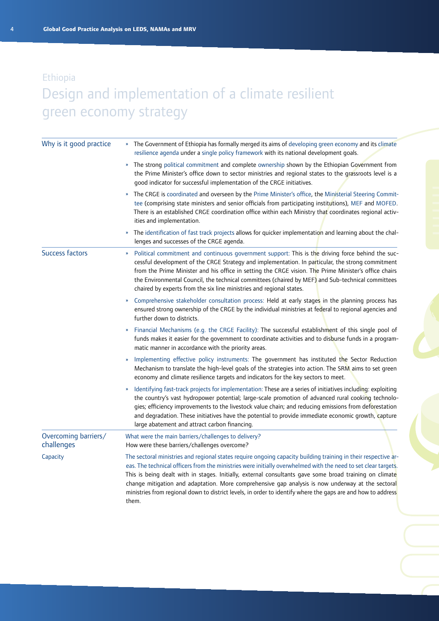| Why is it good practice            | The Government of Ethiopia has formally merged its aims of developing green economy and its climate<br>$\mathbf{w}$<br>resilience agenda under a single policy framework with its national development goals.                                                                                                                                                                                                                                                                                                                                                             |  |
|------------------------------------|---------------------------------------------------------------------------------------------------------------------------------------------------------------------------------------------------------------------------------------------------------------------------------------------------------------------------------------------------------------------------------------------------------------------------------------------------------------------------------------------------------------------------------------------------------------------------|--|
|                                    | The strong political commitment and complete ownership shown by the Ethiopian Government from<br>$\boldsymbol{\mathcal{W}}$<br>the Prime Minister's office down to sector ministries and regional states to the grassroots level is a<br>good indicator for successful implementation of the CRGE initiatives.                                                                                                                                                                                                                                                            |  |
|                                    | The CRGE is coordinated and overseen by the Prime Minister's office, the Ministerial Steering Commit-<br>»<br>tee (comprising state ministers and senior officials from participating institutions), MEF and MOFED.<br>There is an established CRGE coordination office within each Ministry that coordinates regional activ-<br>ities and implementation.                                                                                                                                                                                                                |  |
|                                    | The identification of fast track projects allows for quicker implementation and learning about the chal-<br>D)<br>lenges and successes of the CRGE agenda.                                                                                                                                                                                                                                                                                                                                                                                                                |  |
| Success factors                    | Political commitment and continuous government support: This is the driving force behind the suc-<br>»<br>cessful development of the CRGE Strategy and implementation. In particular, the strong commitment<br>from the Prime Minister and his office in setting the CRGE vision. The Prime Minister's office chairs<br>the Environmental Council, the technical committees (chaired by MEF) and Sub-technical committees<br>chaired by experts from the six line ministries and regional states.                                                                         |  |
|                                    | Comprehensive stakeholder consultation process: Held at early stages in the planning process has<br>$\boldsymbol{\mathcal{W}}$<br>ensured strong ownership of the CRGE by the individual ministries at federal to regional agencies and<br>further down to districts.                                                                                                                                                                                                                                                                                                     |  |
|                                    | Financial Mechanisms (e.g. the CRGE Facility): The successful establishment of this single pool of<br>funds makes it easier for the government to coordinate activities and to disburse funds in a program-<br>matic manner in accordance with the priority areas.                                                                                                                                                                                                                                                                                                        |  |
|                                    | Implementing effective policy instruments: The government has instituted the Sector Reduction<br>»<br>Mechanism to translate the high-level goals of the strategies into action. The SRM aims to set green<br>economy and climate resilience targets and indicators for the key sectors to meet.                                                                                                                                                                                                                                                                          |  |
|                                    | Identifying fast-track projects for implementation: These are a series of initiatives including: exploiting<br>the country's vast hydropower potential; large-scale promotion of advanced rural cooking technolo-<br>gies; efficiency improvements to the livestock value chain; and reducing emissions from deforestation<br>and degradation. These initiatives have the potential to provide immediate economic growth, capture<br>large abatement and attract carbon financing.                                                                                        |  |
| Overcoming barriers/<br>challenges | What were the main barriers/challenges to delivery?<br>How were these barriers/challenges overcome?                                                                                                                                                                                                                                                                                                                                                                                                                                                                       |  |
| Capacity                           | The sectoral ministries and regional states require ongoing capacity building training in their respective ar-<br>eas. The technical officers from the ministries were initially overwhelmed with the need to set clear targets.<br>This is being dealt with in stages. Initially, external consultants gave some broad training on climate<br>change mitigation and adaptation. More comprehensive gap analysis is now underway at the sectoral<br>ministries from regional down to district levels, in order to identify where the gaps are and how to address<br>them. |  |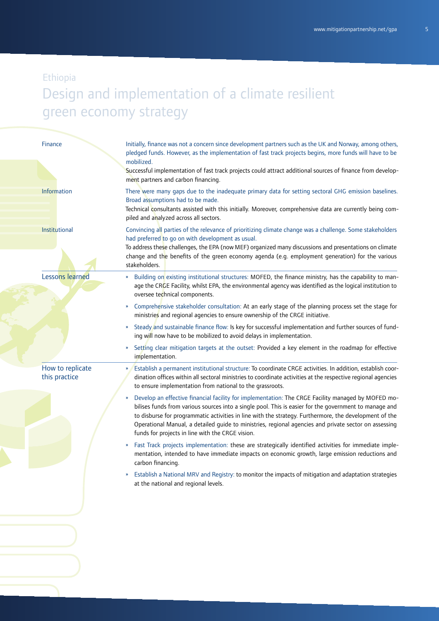| <b>Finance</b>                    | Initially, finance was not a concern since development partners such as the UK and Norway, among others,<br>pledged funds. However, as the implementation of fast track projects begins, more funds will have to be<br>mobilized.<br>Successful implementation of fast track projects could attract additional sources of finance from develop-<br>ment partners and carbon financing.                                                                                                   |
|-----------------------------------|------------------------------------------------------------------------------------------------------------------------------------------------------------------------------------------------------------------------------------------------------------------------------------------------------------------------------------------------------------------------------------------------------------------------------------------------------------------------------------------|
| Information                       | There were many gaps due to the inadequate primary data for setting sectoral GHG emission baselines.<br>Broad assumptions had to be made.<br>-Technical consultants assisted with this initially. Moreover, comprehensive data are currently being com<br>piled and analyzed across all sectors.                                                                                                                                                                                         |
| Institutional                     | Convincing all parties of the relevance of prioritizing climate change was a challenge. Some stakeholders<br>had preferred to go on with development as usual.<br>To address these challenges, the EPA (now MEF) organized many discussions and presentations on climate<br>change and the benefits of the green economy agenda (e.g. employment generation) for the various<br>stakeholders.                                                                                            |
| Lessons learned                   | Building on existing institutional structures: MOFED, the finance ministry, has the capability to man-<br>W.<br>age the CRGE Facility, whilst EPA, the environmental agency was identified as the logical institution to<br>oversee technical components.                                                                                                                                                                                                                                |
|                                   | Comprehensive stakeholder consultation: At an early stage of the planning process set the stage for<br>»<br>ministries and regional agencies to ensure ownership of the CRGE initiative.                                                                                                                                                                                                                                                                                                 |
|                                   | Steady and sustainable finance flow: Is key for successful implementation and further sources of fund-<br>»<br>ing will now have to be mobilized to avoid delays in implementation.                                                                                                                                                                                                                                                                                                      |
|                                   | Setting clear mitigation targets at the outset: Provided a key element in the roadmap for effective<br>»<br>implementation.                                                                                                                                                                                                                                                                                                                                                              |
| How to replicate<br>this practice | Establish a permanent institutional structure: To coordinate CRGE activities. In addition, establish coor-<br>dination offices within all sectoral ministries to coordinate activities at the respective regional agencies<br>to ensure implementation from national to the grassroots.                                                                                                                                                                                                  |
|                                   | Develop an effective financial facility for implementation: The CRGE Facility managed by MOFED mo-<br>»<br>bilises funds from various sources into a single pool. This is easier for the government to manage and<br>to disburse for programmatic activities in line with the strategy. Furthermore, the development of the<br>Operational Manual, a detailed guide to ministries, regional agencies and private sector on assessing<br>funds for projects in line with the CRGE vision. |
|                                   | Fast Track projects implementation: these are strategically identified activities for immediate imple-<br>»<br>mentation, intended to have immediate impacts on economic growth, large emission reductions and<br>carbon financing.                                                                                                                                                                                                                                                      |
|                                   | Establish a National MRV and Registry: to monitor the impacts of mitigation and adaptation strategies<br>»<br>at the national and regional levels.                                                                                                                                                                                                                                                                                                                                       |